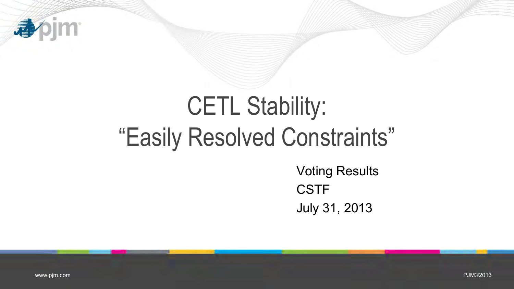

## CETL Stability: "Easily Resolved Constraints"

Voting Results **CSTF** July 31, 2013

PJM©2013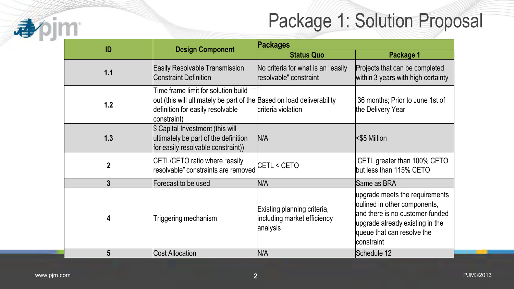## Package 1: Solution Proposal

|              |                                                                                                                                                                 |                                                                        | Package 1: Solution Propc                                                                                                                                                        |
|--------------|-----------------------------------------------------------------------------------------------------------------------------------------------------------------|------------------------------------------------------------------------|----------------------------------------------------------------------------------------------------------------------------------------------------------------------------------|
| ID           | <b>Design Component</b>                                                                                                                                         | Packages<br><b>Status Quo</b>                                          | Package 1                                                                                                                                                                        |
| 1.1          | Easily Resolvable Transmission<br><b>Constraint Definition</b>                                                                                                  | No criteria for what is an "easily<br>resolvable" constraint           | Projects that can be completed<br>within 3 years with high certainty                                                                                                             |
| 1.2          | Time frame limit for solution build<br>out (this will ultimately be part of the Based on load deliverability<br>definition for easily resolvable<br>constraint) | criteria violation                                                     | 36 months; Prior to June 1st of<br>the Delivery Year                                                                                                                             |
| 1.3          | \$ Capital Investment (this will<br>ultimately be part of the definition<br>for easily resolvable constraint))                                                  | N/A                                                                    | <\$5 Million                                                                                                                                                                     |
| $\mathbf{2}$ | CETL/CETO ratio where "easily<br>resolvable" constraints are removed                                                                                            | CETL < CETO                                                            | CETL greater than 100% CETO<br>but less than 115% CETO                                                                                                                           |
| 3            | Forecast to be used                                                                                                                                             | N/A                                                                    | Same as BRA                                                                                                                                                                      |
| 4            | Triggering mechanism                                                                                                                                            | Existing planning criteria,<br>including market efficiency<br>analysis | upgrade meets the requirements<br>oulined in other components,<br>and there is no customer-funded<br>upgrade already existing in the<br>queue that can resolve the<br>constraint |
| 5            | <b>Cost Allocation</b>                                                                                                                                          | N/A                                                                    | Schedule 12                                                                                                                                                                      |

办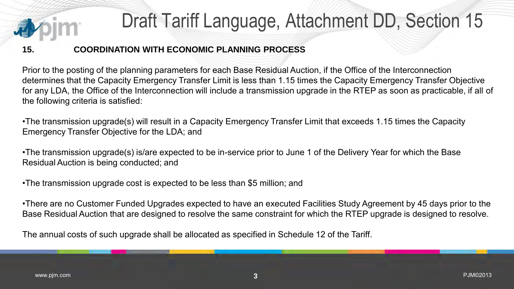

## Draft Tariff Language, Attachment DD, Section 15

## **15. COORDINATION WITH ECONOMIC PLANNING PROCESS**

Prior to the posting of the planning parameters for each Base Residual Auction, if the Office of the Interconnection determines that the Capacity Emergency Transfer Limit is less than 1.15 times the Capacity Emergency Transfer Objective for any LDA, the Office of the Interconnection will include a transmission upgrade in the RTEP as soon as practicable, if all of the following criteria is satisfied:

•The transmission upgrade(s) will result in a Capacity Emergency Transfer Limit that exceeds 1.15 times the Capacity Emergency Transfer Objective for the LDA; and

•The transmission upgrade(s) is/are expected to be in-service prior to June 1 of the Delivery Year for which the Base Residual Auction is being conducted; and

•The transmission upgrade cost is expected to be less than \$5 million; and

•There are no Customer Funded Upgrades expected to have an executed Facilities Study Agreement by 45 days prior to the Base Residual Auction that are designed to resolve the same constraint for which the RTEP upgrade is designed to resolve.

The annual costs of such upgrade shall be allocated as specified in Schedule 12 of the Tariff.